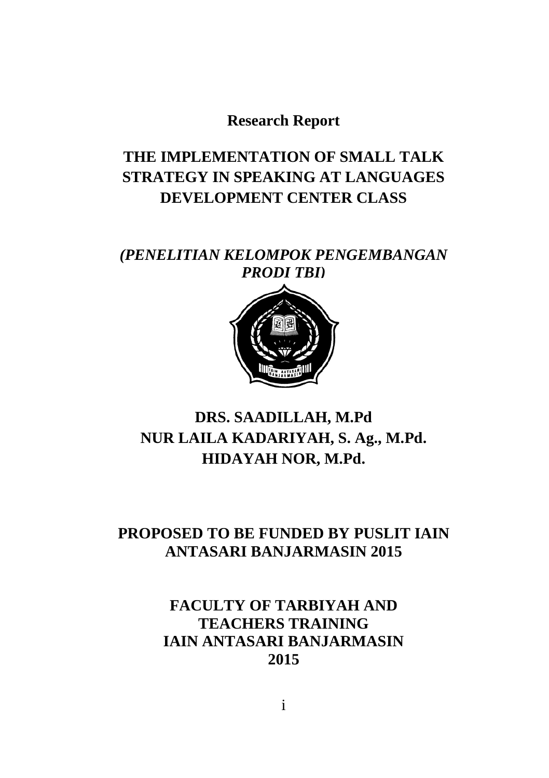**Research Report**

# **THE IMPLEMENTATION OF SMALL TALK STRATEGY IN SPEAKING AT LANGUAGES DEVELOPMENT CENTER CLASS**

*(PENELITIAN KELOMPOK PENGEMBANGAN PRODI TBI)*



## **DRS. SAADILLAH, M.Pd NUR LAILA KADARIYAH, S. Ag., M.Pd. HIDAYAH NOR, M.Pd.**

### **PROPOSED TO BE FUNDED BY PUSLIT IAIN ANTASARI BANJARMASIN 2015**

## **FACULTY OF TARBIYAH AND TEACHERS TRAINING IAIN ANTASARI BANJARMASIN 2015**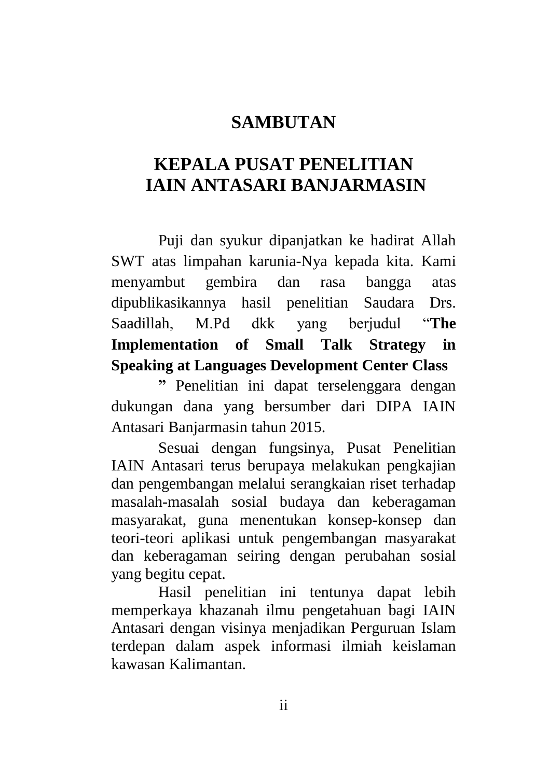## **SAMBUTAN**

## **KEPALA PUSAT PENELITIAN IAIN ANTASARI BANJARMASIN**

Puji dan syukur dipanjatkan ke hadirat Allah SWT atas limpahan karunia-Nya kepada kita. Kami menyambut gembira dan rasa bangga atas dipublikasikannya hasil penelitian Saudara Drs. Saadillah, M.Pd dkk yang berjudul "**The Implementation of Small Talk Strategy in Speaking at Languages Development Center Class** 

**"** Penelitian ini dapat terselenggara dengan dukungan dana yang bersumber dari DIPA IAIN Antasari Banjarmasin tahun 2015.

Sesuai dengan fungsinya, Pusat Penelitian IAIN Antasari terus berupaya melakukan pengkajian dan pengembangan melalui serangkaian riset terhadap masalah-masalah sosial budaya dan keberagaman masyarakat, guna menentukan konsep-konsep dan teori-teori aplikasi untuk pengembangan masyarakat dan keberagaman seiring dengan perubahan sosial yang begitu cepat.

Hasil penelitian ini tentunya dapat lebih memperkaya khazanah ilmu pengetahuan bagi IAIN Antasari dengan visinya menjadikan Perguruan Islam terdepan dalam aspek informasi ilmiah keislaman kawasan Kalimantan.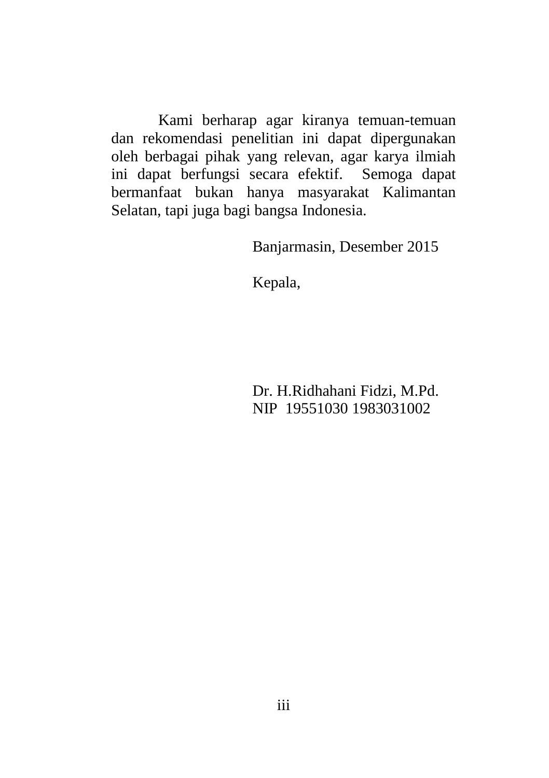Kami berharap agar kiranya temuan-temuan dan rekomendasi penelitian ini dapat dipergunakan oleh berbagai pihak yang relevan, agar karya ilmiah ini dapat berfungsi secara efektif. Semoga dapat bermanfaat bukan hanya masyarakat Kalimantan Selatan, tapi juga bagi bangsa Indonesia.

Banjarmasin, Desember 2015

Kepala,

Dr. H.Ridhahani Fidzi, M.Pd. NIP 19551030 1983031002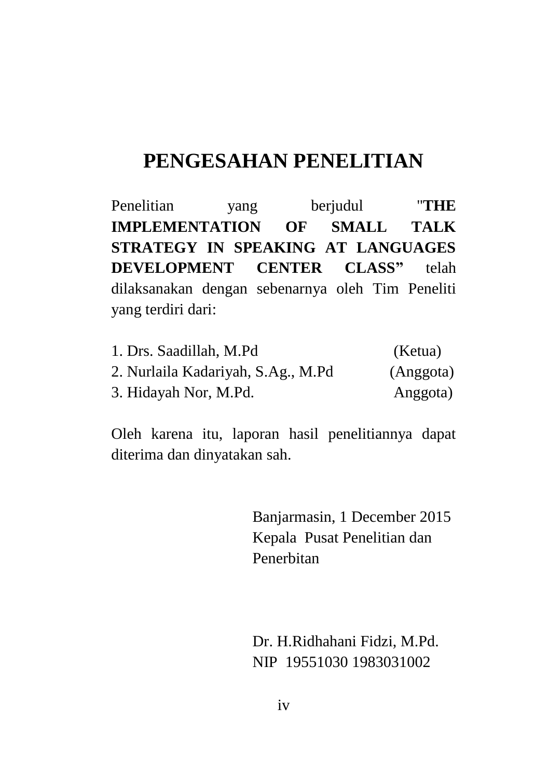# **PENGESAHAN PENELITIAN**

Penelitian yang berjudul "**THE IMPLEMENTATION OF SMALL TALK STRATEGY IN SPEAKING AT LANGUAGES DEVELOPMENT CENTER CLASS"** telah dilaksanakan dengan sebenarnya oleh Tim Peneliti yang terdiri dari:

| 1. Drs. Saadillah, M.Pd            | (Ketua)   |
|------------------------------------|-----------|
| 2. Nurlaila Kadariyah, S.Ag., M.Pd | (Anggota) |
| 3. Hidayah Nor, M.Pd.              | Anggota)  |

Oleh karena itu, laporan hasil penelitiannya dapat diterima dan dinyatakan sah.

> Banjarmasin, 1 December 2015 Kepala Pusat Penelitian dan Penerbitan

 Dr. H.Ridhahani Fidzi, M.Pd. NIP 19551030 1983031002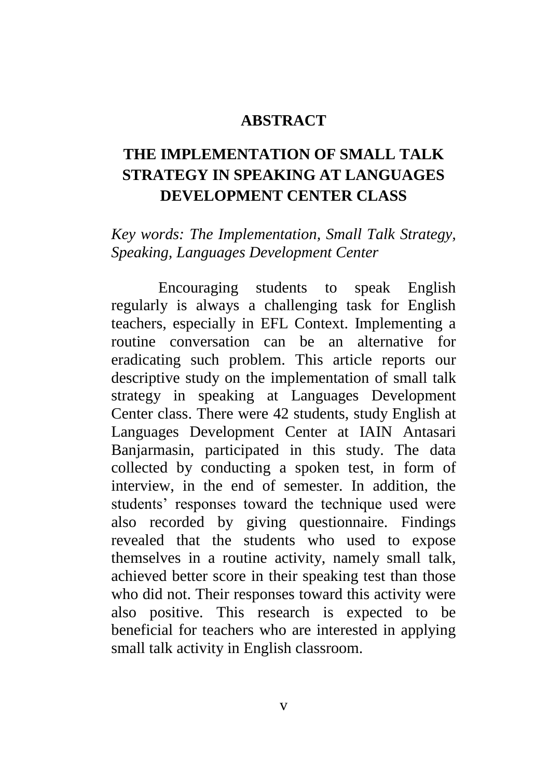#### **ABSTRACT**

## **THE IMPLEMENTATION OF SMALL TALK STRATEGY IN SPEAKING AT LANGUAGES DEVELOPMENT CENTER CLASS**

*Key words: The Implementation, Small Talk Strategy, Speaking, Languages Development Center*

Encouraging students to speak English regularly is always a challenging task for English teachers, especially in EFL Context. Implementing a routine conversation can be an alternative for eradicating such problem. This article reports our descriptive study on the implementation of small talk strategy in speaking at Languages Development Center class. There were 42 students, study English at Languages Development Center at IAIN Antasari Banjarmasin, participated in this study. The data collected by conducting a spoken test, in form of interview, in the end of semester. In addition, the students' responses toward the technique used were also recorded by giving questionnaire. Findings revealed that the students who used to expose themselves in a routine activity, namely small talk, achieved better score in their speaking test than those who did not. Their responses toward this activity were also positive. This research is expected to be beneficial for teachers who are interested in applying small talk activity in English classroom.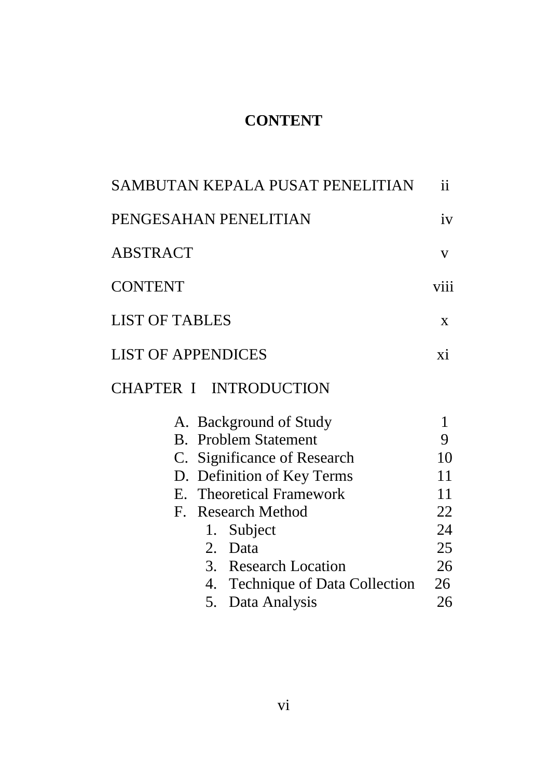## **CONTENT**

| SAMBUTAN KEPALA PUSAT PENELITIAN                                                                                                                                                                                                                            | ii                                                     |
|-------------------------------------------------------------------------------------------------------------------------------------------------------------------------------------------------------------------------------------------------------------|--------------------------------------------------------|
| PENGESAHAN PENELITIAN                                                                                                                                                                                                                                       | iv                                                     |
| ABSTRACT                                                                                                                                                                                                                                                    | V                                                      |
| <b>CONTENT</b>                                                                                                                                                                                                                                              | viii                                                   |
| <b>LIST OF TABLES</b>                                                                                                                                                                                                                                       | X                                                      |
| <b>LIST OF APPENDICES</b>                                                                                                                                                                                                                                   | xi                                                     |
| CHAPTER I INTRODUCTION                                                                                                                                                                                                                                      |                                                        |
| A. Background of Study<br><b>B.</b> Problem Statement<br>C. Significance of Research<br>D. Definition of Key Terms<br>E. Theoretical Framework<br>F. Research Method<br>1. Subject<br>2.<br>Data<br>3. Research Location<br>4. Technique of Data Collection | 1<br>9<br>10<br>11<br>11<br>22<br>24<br>25<br>26<br>26 |
| 5. Data Analysis                                                                                                                                                                                                                                            | 26                                                     |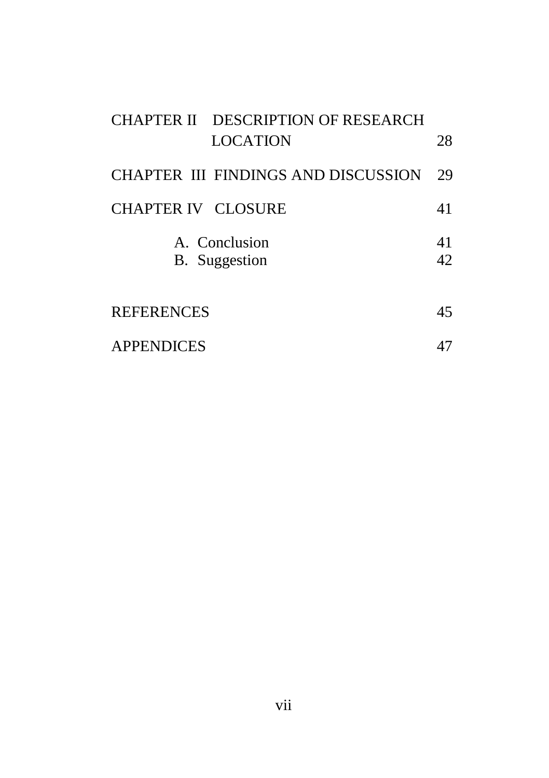| CHAPTER II DESCRIPTION OF RESEARCH<br><b>LOCATION</b> | 28        |
|-------------------------------------------------------|-----------|
| CHAPTER III FINDINGS AND DISCUSSION                   | 29        |
| CHAPTER IV CLOSURE                                    | 41        |
| A. Conclusion<br>B. Suggestion                        | 41<br>42. |
| <b>REFERENCES</b>                                     | 45        |
| <b>APPENDICES</b>                                     |           |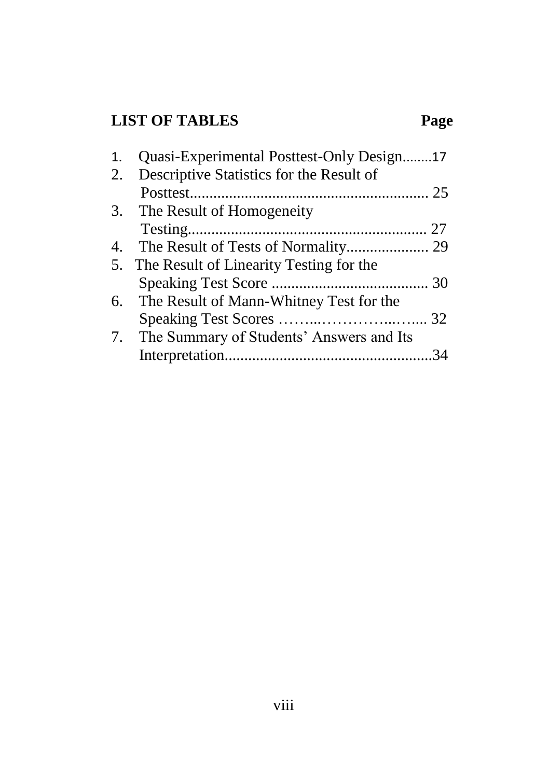# **LIST OF TABLES Page**

| 1. | Quasi-Experimental Posttest-Only Design17   |  |
|----|---------------------------------------------|--|
| 2. | Descriptive Statistics for the Result of    |  |
|    |                                             |  |
|    | 3. The Result of Homogeneity                |  |
|    |                                             |  |
| 4. |                                             |  |
|    | 5. The Result of Linearity Testing for the  |  |
|    |                                             |  |
|    | 6. The Result of Mann-Whitney Test for the  |  |
|    |                                             |  |
|    | 7. The Summary of Students' Answers and Its |  |
|    |                                             |  |